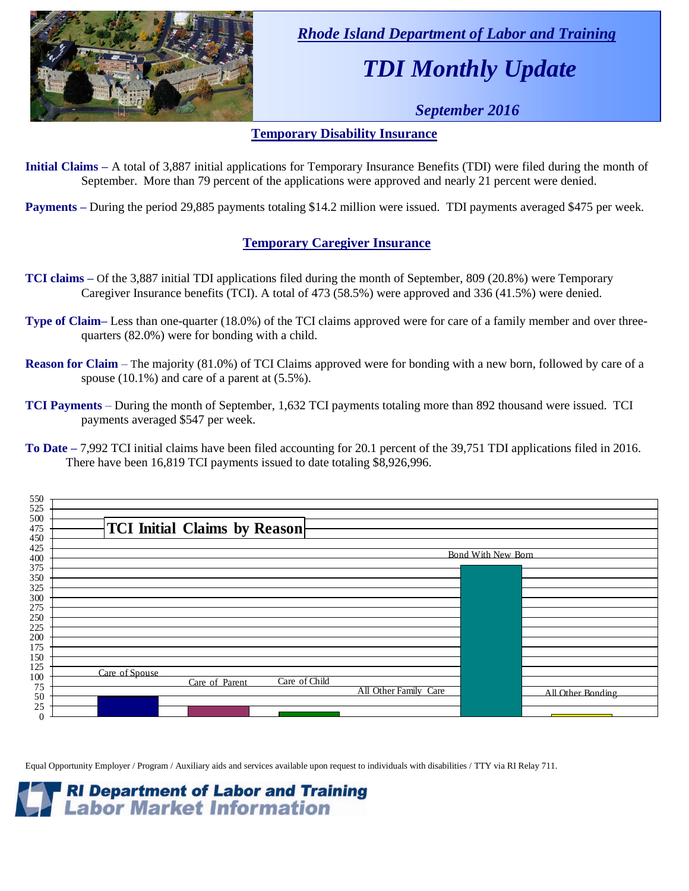

 *Rhode Island Department of Labor and Training*

# *TDI Monthly Update*

 *September 2016*

#### **Temporary Disability Insurance**

**Initial Claims –** A total of 3,887 initial applications for Temporary Insurance Benefits (TDI) were filed during the month of September. More than 79 percent of the applications were approved and nearly 21 percent were denied.

**Payments –** During the period 29,885 payments totaling \$14.2 million were issued. TDI payments averaged \$475 per week.

### **Temporary Caregiver Insurance**

- **TCI claims –** Of the 3,887 initial TDI applications filed during the month of September, 809 (20.8%) were Temporary Caregiver Insurance benefits (TCI). A total of 473 (58.5%) were approved and 336 (41.5%) were denied.
- **Type of Claim–** Less than one-quarter (18.0%) of the TCI claims approved were for care of a family member and over threequarters (82.0%) were for bonding with a child.
- **Reason for Claim** The majority (81.0%) of TCI Claims approved were for bonding with a new born, followed by care of a spouse (10.1%) and care of a parent at (5.5%).
- **TCI Payments** During the month of September, 1,632 TCI payments totaling more than 892 thousand were issued. TCI payments averaged \$547 per week.
- **To Date –** 7,992 TCI initial claims have been filed accounting for 20.1 percent of the 39,751 TDI applications filed in 2016. There have been 16,819 TCI payments issued to date totaling \$8,926,996.



Equal Opportunity Employer / Program / Auxiliary aids and services available upon request to individuals with disabilities / TTY via RI Relay 711.

**RI Department of Labor and Training Labor Market Information**